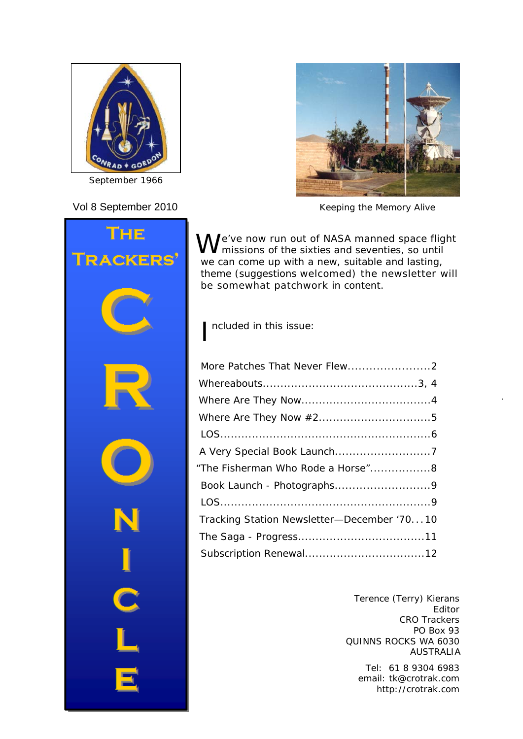

*September 1966*





Vol 8 September 2010 *Keeping the Memory Alive*

We've now run out of NASA manned space flight<br>W missions of the sixties and seventies, so until we can come up with a new, suitable and lasting, theme (suggestions welcomed) the newsletter will be somewhat patchwork in content.

I ncluded in this issue:

| "The Fisherman Who Rode a Horse"8          |  |
|--------------------------------------------|--|
|                                            |  |
|                                            |  |
| Tracking Station Newsletter-December '7010 |  |
|                                            |  |
|                                            |  |

Terence (Terry) Kierans Editor CRO Trackers PO Box 93 QUINNS ROCKS WA 6030 AUSTRALIA

Tel: 61 8 9304 6983 email: tk@crotrak.com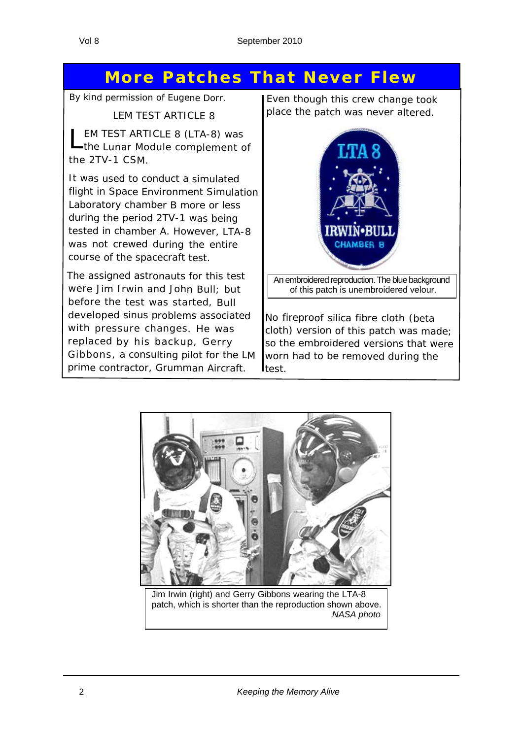# **More Patches That Never Flew**

*By kind permission of Eugene Dorr.*

LEM TEST ARTICLE 8

EM TEST ARTICLE 8 (LTA-8) was the Lunar Module complement of the 2TV-1 CSM.

It was used to conduct <sup>a</sup> simulated flight in Space Environment Simulation Laboratory chamber B more or less during the period 2TV-1 was being tested in chamber A. However, LTA-8 was not crewed during the entire course of the spacecraft test.

The assigned astronauts for this test were Jim Irwin and John Bull; but before the test was started, Bull developed sinus problems associated with pressure changes. He was replaced by his backup, Gerry Gibbons, <sup>a</sup> consulting pilot for the LM prime contractor, Grumman Aircraft.

Even though this crew change took place the patch was never altered.



An embroidered reproduction. The blue background of this patch is unembroidered velour.

No fireproof silica fibre cloth (beta cloth) version of this patch was made; so the embroidered versions that were worn had to be removed during the Itest.



Jim Irwin (right) and Gerry Gibbons wearing the LTA-8 patch, which is shorter than the reproduction shown above. *NASA photo*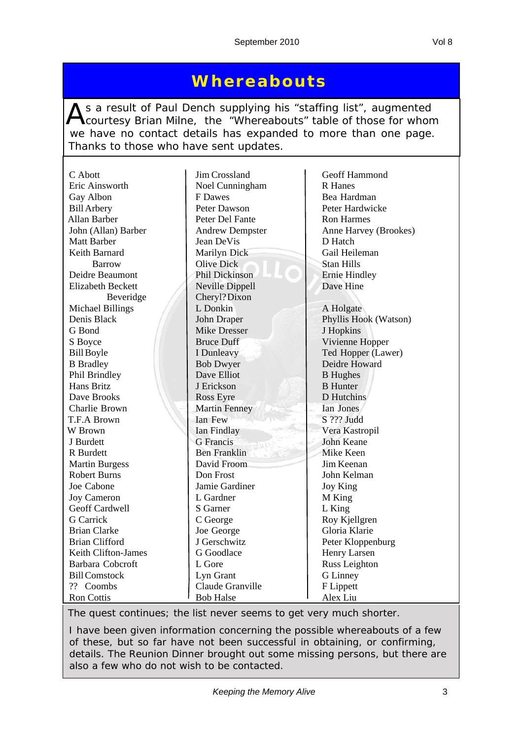# **Whereabouts**

As a result of Paul Dench supplying his "staffing list", augmented<br>Courtesy Brian Milne, the "Whereabouts" table of those for whom we have no contact details has expanded to more than one page. Thanks to those who have sent updates.

| C Abott<br>Eric Ainsworth | Jim Crossland          | Geoff Hammond<br><b>R</b> Hanes |
|---------------------------|------------------------|---------------------------------|
|                           | Noel Cunningham        |                                 |
| Gay Albon                 | F Dawes                | Bea Hardman                     |
| <b>Bill Arbery</b>        | Peter Dawson           | Peter Hardwicke                 |
| Allan Barber              | Peter Del Fante        | <b>Ron Harmes</b>               |
| John (Allan) Barber       | <b>Andrew Dempster</b> | Anne Harvey (Brookes)           |
| <b>Matt Barber</b>        | Jean DeVis             | D Hatch                         |
| Keith Barnard             | Marilyn Dick           | Gail Heileman                   |
| <b>Barrow</b>             | <b>Olive Dick</b>      | <b>Stan Hills</b>               |
| Deidre Beaumont           | Phil Dickinson         | <b>Ernie Hindley</b>            |
| <b>Elizabeth Beckett</b>  | Neville Dippell        | Dave Hine                       |
| Beveridge                 | Cheryl?Dixon           |                                 |
| <b>Michael Billings</b>   | L Donkin               | A Holgate                       |
| Denis Black               | John Draper            | Phyllis Hook (Watson)           |
| G Bond                    | <b>Mike Dresser</b>    | J Hopkins                       |
| S Boyce                   | <b>Bruce Duff</b>      | Vivienne Hopper                 |
| <b>Bill Boyle</b>         | I Dunleavy             | Ted Hopper (Lawer)              |
| <b>B</b> Bradley          | <b>Bob Dwyer</b>       | Deidre Howard                   |
| Phil Brindley             | Dave Elliot            | <b>B</b> Hughes                 |
| Hans Britz                | J Erickson             | <b>B</b> Hunter                 |
| Dave Brooks               | <b>Ross Eyre</b>       | D Hutchins                      |
| Charlie Brown             | <b>Martin Fenney</b>   | Ian Jones                       |
| T.F.A Brown               | Ian Few                | S ??? Judd                      |
| W Brown                   | Ian Findlay            | Vera Kastropil                  |
| J Burdett                 | <b>G</b> Francis       | <b>John Keane</b>               |
| R Burdett                 | <b>Ben Franklin</b>    | Mike Keen                       |
| <b>Martin Burgess</b>     | David Froom            | Jim Keenan                      |
| <b>Robert Burns</b>       | Don Frost              | John Kelman                     |
| Joe Cabone                | Jamie Gardiner         | Joy King                        |
| <b>Joy Cameron</b>        | L Gardner              | M King                          |
| Geoff Cardwell            | S Garner               | L King                          |
| <b>G</b> Carrick          | C George               | Roy Kjellgren                   |
| <b>Brian Clarke</b>       | Joe George             | Gloria Klarie                   |
| <b>Brian Clifford</b>     | J Gerschwitz           | Peter Kloppenburg               |
| Keith Clifton-James       | G Goodlace             | Henry Larsen                    |
| Barbara Cobcroft          | L Gore                 | Russ Leighton                   |
| <b>Bill Comstock</b>      | Lyn Grant              | G Linney                        |
| ?? Coombs                 | Claude Granville       | F Lippett                       |
| <b>Ron Cottis</b>         | <b>Bob Halse</b>       | Alex Liu                        |

*The quest continues; the list never seems to get very much shorter.*

*I have been given information concerning the possible whereabouts of a few of these, but so far have not been successful in obtaining, or confirming, details. The Reunion Dinner brought out some missing persons, but there are also a few who do not wish to be contacted.*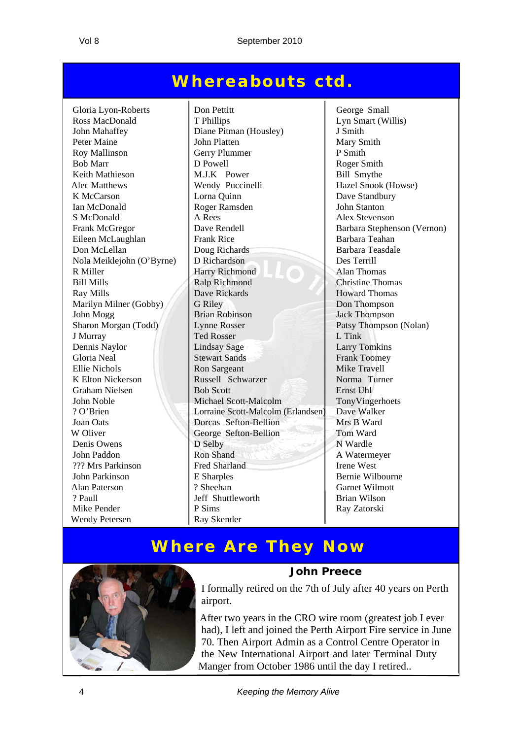# **Whereabouts ctd.**

Nola Meiklejohn  $(O'Byrne)$  D Richardson K Elton Nickerson Russell Schwarzer Wendy Petersen Ray Skender

Gloria Lyon-Roberts | Don Pettitt | George Small Ross MacDonald T Phillips Lyn Smart (Willis) John Mahaffey Diane Pitman (Housley) J Smith Peter Maine John Platten Mary Smith Roy Mallinson Gerry Plummer P Smith Bob Marr D Powell D Powell Roger Smith Keith Mathieson M.J.K Power Bill Smythe Alec Matthews Wendy Puccinelli Hazel Snook (Howse) K McCarson  $\vert$  Lorna Quinn  $\vert$  Dave Standbury Ian McDonald Roger Ramsden John Stanton S McDonald A Rees Alex Stevenson Frank McGregor Dave Rendell Barbara Stephenson (Vernon) Eileen McLaughlan Frank Rice Barbara Teahan Don McLellan Doug Richards<br>
Doug Richards<br>
Des Terrill<br>
Des Terrill<br>
Des Terrill R Miller **Harry Richmond** Alan Thomas Bill Mills Ralp Richmond Christine Thomas Ray Mills **Ray Mills** Dave Rickards **Howard Thomas** Marilyn Milner (Gobby) G Riley Don Thompson John Mogg Brian Robinson Jack Thompson Sharon Morgan (Todd) Lynne Rosser Patsy Thompson (Nolan) J Murray Ted Rosser L Tink Dennis Naylor Lindsay Sage Larry Tomkins Gloria Neal Stewart Sands Frank Toomey Ellie Nichols<br>
K Elton Nickerson Russell Schwarzer Mike Travell<br>
Russell Schwarzer Norma Turner Graham Nielsen Bob Scott Ernst Uhl John Noble Michael Scott-Malcolm TonyVingerhoets ? O'Brien Lorraine Scott-Malcolm (Erlandsen) Dave Walker Joan Oats **Dorcas Sefton-Bellion** Mrs B Ward W Oliver George Sefton-Bellion Tom Ward Denis Owens D Selby N Wardle John Paddon Ron Shand Ron Shand A Watermeyer ??? Mrs Parkinson Fred Sharland Irene West John Parkinson E Sharples Bernie Wilbourne Alan Paterson ? Sheehan Garnet Wilmott ? Paull Jeff Shuttleworth Brian Wilson Mike Pender **P** Sims Ray Zatorski

# **Where Are They Now**



#### **John Preece**

I formally retired on the 7th of July after 40 years on Perth airport.

After two years in the CRO wire room (greatest job I ever had), I left and joined the Perth Airport Fire service in June 70. Then Airport Admin as a Control Centre Operator in the New International Airport and later Terminal Duty Manger from October 1986 until the day I retired..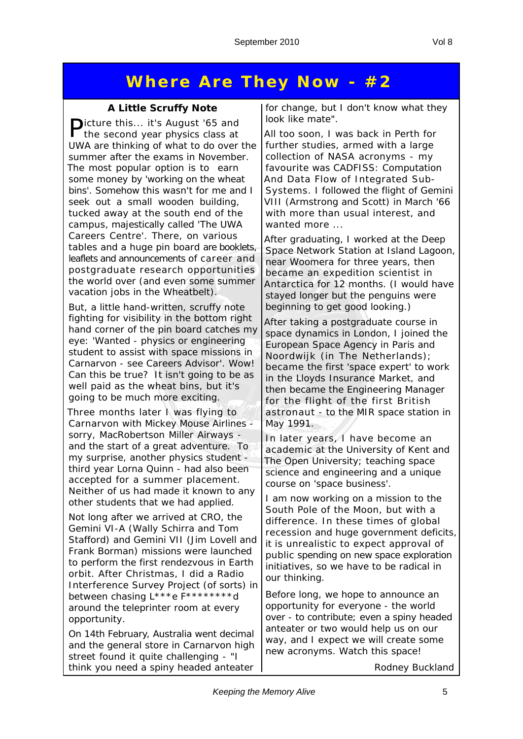# **Where Are They Now - #2**

#### **A Little Scruffy Note**

Picture this... it's August '65 and the second year physics class at UWA are thinking of what to do over the summer after the exams in November. The most popular option is to earn some money by 'working on the wheat bins'. Somehow this wasn't for me and I seek out a small wooden building, tucked away at the south end of the campus, majestically called 'The UWA Careers Centre'. There, on various tables and a huge pin board are booklets, leaflets and announcements of career and postgraduate research opportunities the world over (and even some summer vacation jobs in the Wheatbelt).

But, a little hand-written, scruffy note fighting for visibility in the bottom right hand corner of the pin board catches my eye: 'Wanted - physics or engineering student to assist with space missions in Carnarvon - see Careers Advisor'. Wow! Can this be true? It isn't going to be as well paid as the wheat bins, but it's going to be much more exciting.

Three months later I was flying to Carnarvon with Mickey Mouse Airlines sorry, MacRobertson Miller Airways and the start of a great adventure. To my surprise, another physics student third year Lorna Quinn - had also been accepted for a summer placement. Neither of us had made it known to any other students that we had applied.

Not long after we arrived at CRO, the Gemini VI-A (Wally Schirra and Tom Stafford) and Gemini VII (Jim Lovell and Frank Borman) missions were launched to perform the first rendezvous in Earth orbit. After Christmas, I did a Radio Interference Survey Project (of sorts) in between chasing L\*\*\*e F\*\*\*\*\*\*\*\*d around the teleprinter room at every opportunity.

On 14th February, Australia went decimal and the general store in Carnarvon high street found it quite challenging - "I think you need a spiny headed anteater for change, but I don't know what they look like mate".

All too soon, I was back in Perth for further studies, armed with a large collection of NASA acronyms - my favourite was CADFISS: Computation And Data Flow of Integrated Sub-Systems. I followed the flight of Gemini VIII (Armstrong and Scott) in March '66 with more than usual interest, and wanted more ...

After graduating, I worked at the Deep Space Network Station at Island Lagoon, near Woomera for three years, then became an expedition scientist in Antarctica for 12 months. (I would have stayed longer but the penguins were beginning to get good looking.)

After taking a postgraduate course in space dynamics in London, I joined the European Space Agency in Paris and Noordwijk (in The Netherlands); became the first 'space expert' to work in the Lloyds Insurance Market, and then became the Engineering Manager for the flight of the first British astronaut - to the MIR space station in May 1991.

In later years, I have become an academic at the University of Kent and The Open University; teaching space science and engineering and a unique course on 'space business'.

I am now working on a mission to the South Pole of the Moon, but with a difference. In these times of global recession and huge government deficits, it is unrealistic to expect approval of public spending on new space exploration initiatives, so we have to be radical in our thinking.

Before long, we hope to announce an opportunity for everyone - the world over - to contribute; even a spiny headed anteater or two would help us on our way, and I expect we will create some new acronyms. Watch this space!

*Rodney Buckland*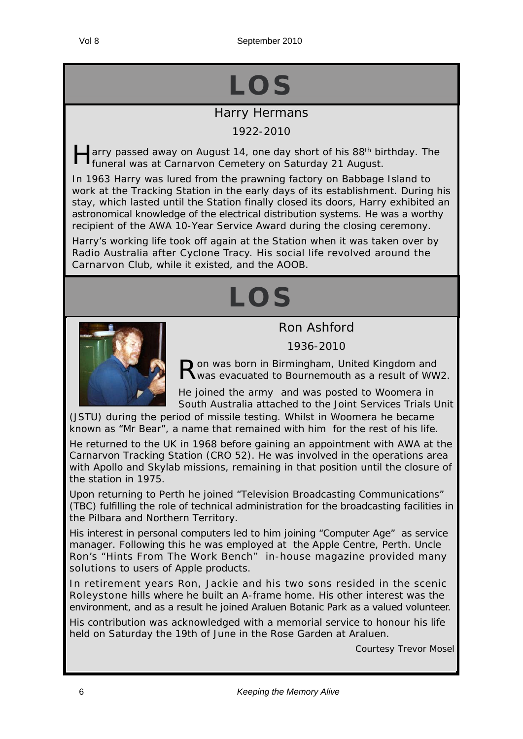Vol 8 September 2010

# **LOS**

### Harry Hermans

#### 1922-2010

arry passed away on August 14, one day short of his 88<sup>th</sup> birthday. The funeral was at Carnarvon Cemetery on Saturday 21 August.

In 1963 Harry was lured from the prawning factory on Babbage Island to work at the Tracking Station in the early days of its establishment. During his stay, which lasted until the Station finally closed its doors, Harry exhibited an astronomical knowledge of the electrical distribution systems. He was a worthy recipient of the AWA 10-Year Service Award during the closing ceremony.

Harry's working life took off again at the Station when it was taken over by Radio Australia after Cyclone Tracy. His social life revolved around the Carnarvon Club, while it existed, and the AOOB.

# **LOS**

#### Ron Ashford

1936-2010



Ron was born in Birmingham, United Kingdom and<br>Rwas evacuated to Bournemouth as a result of WW2.

He joined the army and was posted to Woomera in South Australia attached to the Joint Services Trials Unit

(JSTU) during the period of missile testing. Whilst in Woomera he became known as "Mr Bear", a name that remained with him for the rest of his life.

He returned to the UK in 1968 before gaining an appointment with AWA at the Carnarvon Tracking Station (CRO 52). He was involved in the operations area with Apollo and Skylab missions, remaining in that position until the closure of the station in 1975.

Upon returning to Perth he joined "Television Broadcasting Communications" (TBC) fulfilling the role of technical administration for the broadcasting facilities in the Pilbara and Northern Territory.

His interest in personal computers led to him joining "Computer Age" as service manager. Following this he was employed at the Apple Centre, Perth. Uncle Ron's "*Hints From The Work Bench*" in-house magazine provided many solutions to users of Apple products.

In retirement years Ron, Jackie and his two sons resided in the scenic Roleystone hills where he built an A-frame home. His other interest was the environment, and as a result he joined Araluen Botanic Park as a valued volunteer.

His contribution was acknowledged with a memorial service to honour his life held on Saturday the 19th of June in the Rose Garden at Araluen.

*Courtesy Trevor Mosel*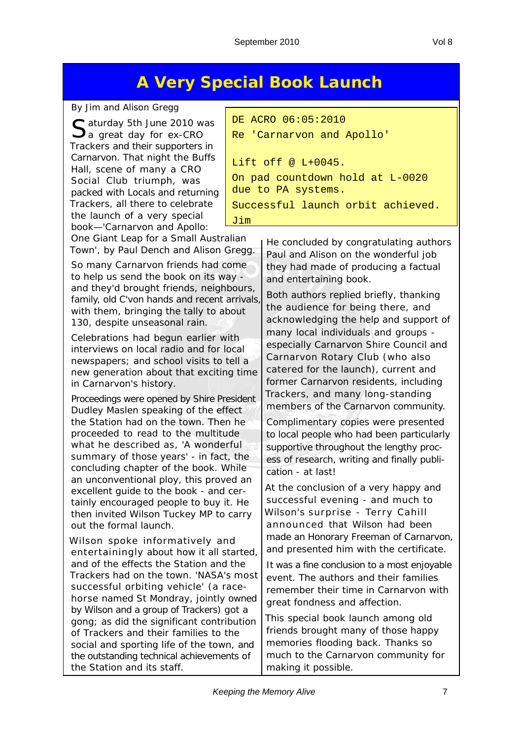# **A Very Special Book Launch**

#### *By Jim and Alison Gregg*

C aturday 5th June 2010 was  $\mathbf{\mathcal{Q}}$ a great day for ex-CRO Trackers and their supporters in Carnarvon. That night the Buffs Hall, scene of many a CRO Social Club triumph, was packed with Locals and returning Trackers, all there to celebrate the launch of a very special book—'*Carnarvon and Apollo:* 

DE ACRO 06:05:2010 Re 'Carnarvon and Apollo' Lift off @ L+0045. On pad countdown hold at L-0020 due to PA systems. Successful launch orbit achieved. Jim

*One Giant Leap for a Small Australian Town*', by Paul Dench and Alison Gregg.

So many Carnarvon friends had come to help us send the book on its way and they'd brought friends, neighbours, family, old C'von hands and recent arrivals, with them, bringing the tally to about 130, despite unseasonal rain.

Celebrations had begun earlier with interviews on local radio and for local newspapers; and school visits to tell a new generation about that exciting time in Carnarvon's history.

Proceedings were opened by Shire President Dudley Maslen speaking of the effect the Station had on the town. Then he proceeded to read to the multitude what he described as, 'A wonderful summary of those years' - in fact, the concluding chapter of the book. While an unconventional ploy, this proved an excellent guide to the book - and certainly encouraged people to buy it. He then invited Wilson Tuckey MP to carry out the formal launch.

Wilson spoke informatively and entertainingly about how it all started, and of the effects the Station and the Trackers had on the town. 'NASA's most successful orbiting vehicle' (a racehorse named St Mondray, jointly owned by Wilson and a group of Trackers) got a gong; as did the significant contribution of Trackers and their families to the social and sporting life of the town, and the outstanding technical achievements of the Station and its staff.

He concluded by congratulating authors Paul and Alison on the wonderful job they had made of producing a factual and entertaining book.

Both authors replied briefly, thanking the audience for being there, and acknowledging the help and support of many local individuals and groups especially Carnarvon Shire Council and Carnarvon Rotary Club (who also catered for the launch), current and former Carnarvon residents, including Trackers, and many long-standing members of the Carnarvon community.

Complimentary copies were presented to local people who had been particularly supportive throughout the lengthy process of research, writing and finally publication - at last!

At the conclusion of a very happy and successful evening - and much to Wilson's surprise - Terry Cahill announced that Wilson had been made an Honorary Freeman of Carnarvon, and presented him with the certificate.

It was a fine conclusion to a most enjoyable event. The authors and their families remember their time in Carnarvon with great fondness and affection.

This special book launch among old friends brought many of those happy memories flooding back. Thanks so much to the Carnarvon community for making it possible.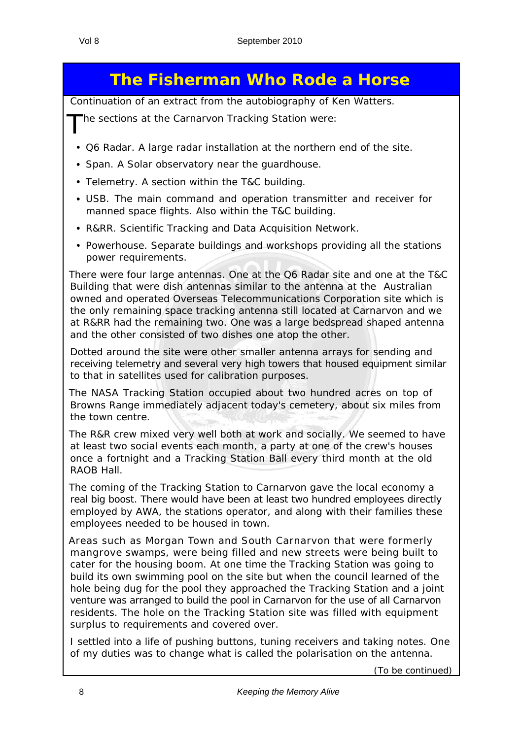# **The Fisherman Who Rode a Horse**

*Continuation of an extract from the autobiography of Ken Watters.*

The sections at the Carnarvon Tracking Station were:

- Q6 Radar. A large radar installation at the northern end of the site.
- Span. A Solar observatory near the quardhouse.
- Telemetry. A section within the T&C building.
- USB. The main command and operation transmitter and receiver for manned space flights. Also within the T&C building.
- R&RR. Scientific Tracking and Data Acquisition Network.
- Powerhouse. Separate buildings and workshops providing all the stations power requirements.

There were four large antennas. One at the Q6 Radar site and one at the T&C Building that were dish antennas similar to the antenna at the Australian owned and operated Overseas Telecommunications Corporation site which is the only remaining space tracking antenna still located at Carnarvon and we at R&RR had the remaining two. One was a large bedspread shaped antenna and the other consisted of two dishes one atop the other.

Dotted around the site were other smaller antenna arrays for sending and receiving telemetry and several very high towers that housed equipment similar to that in satellites used for calibration purposes.

The NASA Tracking Station occupied about two hundred acres on top of Browns Range immediately adjacent today's cemetery, about six miles from the town centre.

The R&R crew mixed very well both at work and socially. We seemed to have at least two social events each month, a party at one of the crew's houses once a fortnight and a Tracking Station Ball every third month at the old RAOB Hall.

The coming of the Tracking Station to Carnarvon gave the local economy a real big boost. There would have been at least two hundred employees directly employed by AWA, the stations operator, and along with their families these employees needed to be housed in town.

Areas such as Morgan Town and South Carnarvon that were formerly mangrove swamps, were being filled and new streets were being built to cater for the housing boom. At one time the Tracking Station was going to build its own swimming pool on the site but when the council learned of the hole being dug for the pool they approached the Tracking Station and a joint venture was arranged to build the pool in Carnarvon for the use of all Carnarvon residents. The hole on the Tracking Station site was filled with equipment surplus to requirements and covered over.

I settled into a life of pushing buttons, tuning receivers and taking notes. One of my duties was to change what is called the polarisation on the antenna.

(*To be continued)*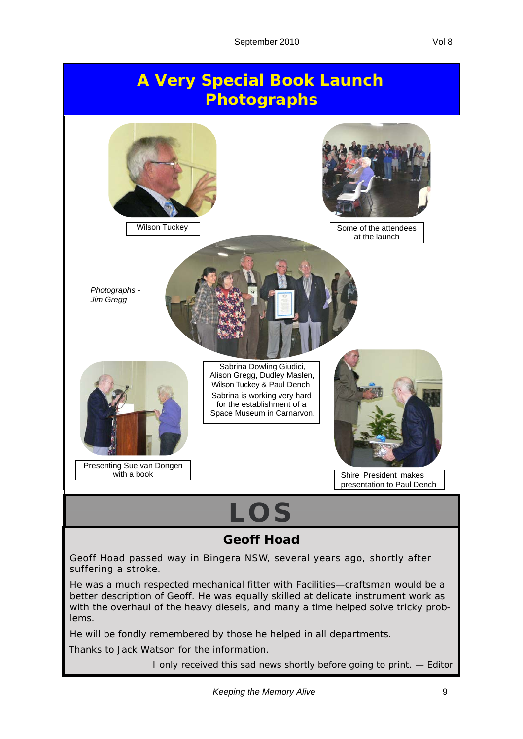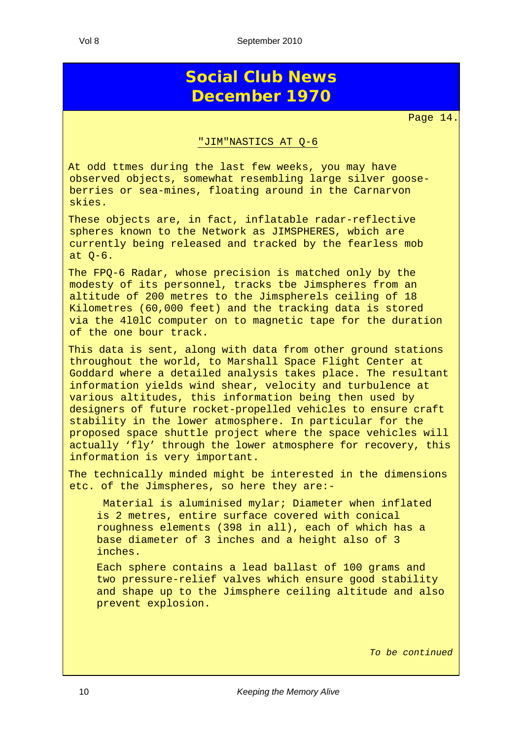# **Social Club News December 1970**

Page 14.

#### "JIM"NASTICS AT Q-6

At odd ttmes during the last few weeks, you may have observed objects, somewhat resembling large silver gooseberries or sea-mines, floating around in the Carnarvon skies.

These objects are, in fact, inflatable radar-reflective spheres known to the Network as JIMSPHERES, wbich are currently being released and tracked by the fearless mob at Q-6.

The FPQ-6 Radar, whose precision is matched only by the modesty of its personnel, tracks tbe Jimspheres from an altitude of 200 metres to the Jimspherels ceiling of 18 Kilometres (60,000 feet) and the tracking data is stored via the 4l0lC computer on to magnetic tape for the duration of the one bour track.

This data is sent, along with data from other ground stations throughout the world, to Marshall Space Flight Center at Goddard where a detailed analysis takes place. The resultant information yields wind shear, velocity and turbulence at various altitudes, this information being then used by designers of future rocket-propelled vehicles to ensure craft stability in the lower atmosphere. In particular for the proposed space shuttle project where the space vehicles will actually 'fly' through the lower atmosphere for recovery, this information is very important.

The technically minded might be interested in the dimensions etc. of the Jimspheres, so here they are:-

 Material is aluminised mylar; Diameter when inflated is 2 metres, entire surface covered with conical roughness elements (398 in all), each of which has a base diameter of 3 inches and a height also of 3 inches.

Each sphere contains a lead ballast of 100 grams and two pressure-relief valves which ensure good stability and shape up to the Jimsphere ceiling altitude and also prevent explosion.

*To be continued*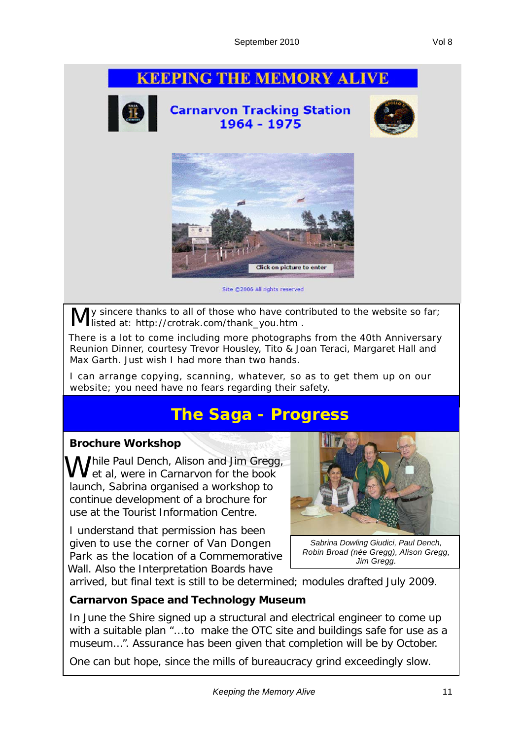### **KEEPING THE MEMORY ALIVE**



**Carnarvon Tracking Station** 1964 - 1975





Site @2006 All rights reserved

ly sincere thanks to all of those who have contributed to the website so far; listed at: http://crotrak.com/thank\_you.htm .

There is a lot to come including more photographs from the 40th Anniversary Reunion Dinner, courtesy Trevor Housley, Tito & Joan Teraci, Margaret Hall and Max Garth. Just wish I had more than two hands.

I can arrange copying, scanning, whatever, so as to get them up on our website; you need have no fears regarding their safety.

# **The Saga - Progress**

#### **Brochure Workshop**

Mile Paul Dench, Alison and Jim Gregg,  $\mathsf I$  et al, were in Carnarvon for the book launch, Sabrina organised a workshop to continue development of a brochure for use at the Tourist Information Centre.

I understand that permission has been given to use the corner of Van Dongen Park as the location of a Commemorative Wall. Also the Interpretation Boards have



*Sabrina Dowling Giudici, Paul Dench, Robin Broad (née Gregg), Alison Gregg, Jim Gregg.*

arrived, but final text is still to be determined; modules drafted July 2009.

#### **Carnarvon Space and Technology Museum**

In June the Shire signed up a structural and electrical engineer to come up with a suitable plan "...*to make the OTC site and buildings safe for use as a museum*...". Assurance has been given that completion will be by October.

One can but hope, since the mills of bureaucracy grind exceedingly slow.